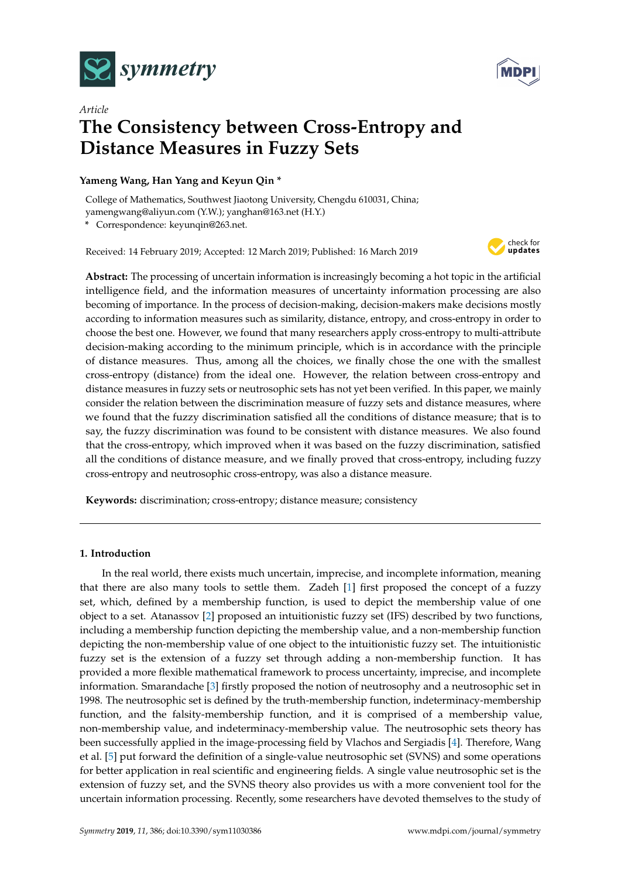



# *Article* **The Consistency between Cross-Entropy and Distance Measures in Fuzzy Sets**

**Yameng Wang, Han Yang and Keyun Qin \***

College of Mathematics, Southwest Jiaotong University, Chengdu 610031, China; yamengwang@aliyun.com (Y.W.); yanghan@163.net (H.Y.)

**\*** Correspondence: keyunqin@263.net.

Received: 14 February 2019; Accepted: 12 March 2019; Published: 16 March 2019



**Abstract:** The processing of uncertain information is increasingly becoming a hot topic in the artificial intelligence field, and the information measures of uncertainty information processing are also becoming of importance. In the process of decision-making, decision-makers make decisions mostly according to information measures such as similarity, distance, entropy, and cross-entropy in order to choose the best one. However, we found that many researchers apply cross-entropy to multi-attribute decision-making according to the minimum principle, which is in accordance with the principle of distance measures. Thus, among all the choices, we finally chose the one with the smallest cross-entropy (distance) from the ideal one. However, the relation between cross-entropy and distance measures in fuzzy sets or neutrosophic sets has not yet been verified. In this paper, we mainly consider the relation between the discrimination measure of fuzzy sets and distance measures, where we found that the fuzzy discrimination satisfied all the conditions of distance measure; that is to say, the fuzzy discrimination was found to be consistent with distance measures. We also found that the cross-entropy, which improved when it was based on the fuzzy discrimination, satisfied all the conditions of distance measure, and we finally proved that cross-entropy, including fuzzy cross-entropy and neutrosophic cross-entropy, was also a distance measure.

**Keywords:** discrimination; cross-entropy; distance measure; consistency

# **1. Introduction**

In the real world, there exists much uncertain, imprecise, and incomplete information, meaning that there are also many tools to settle them. Zadeh [\[1\]](#page-9-0) first proposed the concept of a fuzzy set, which, defined by a membership function, is used to depict the membership value of one object to a set. Atanassov [\[2\]](#page-9-1) proposed an intuitionistic fuzzy set (IFS) described by two functions, including a membership function depicting the membership value, and a non-membership function depicting the non-membership value of one object to the intuitionistic fuzzy set. The intuitionistic fuzzy set is the extension of a fuzzy set through adding a non-membership function. It has provided a more flexible mathematical framework to process uncertainty, imprecise, and incomplete information. Smarandache [\[3\]](#page-9-2) firstly proposed the notion of neutrosophy and a neutrosophic set in 1998. The neutrosophic set is defined by the truth-membership function, indeterminacy-membership function, and the falsity-membership function, and it is comprised of a membership value, non-membership value, and indeterminacy-membership value. The neutrosophic sets theory has been successfully applied in the image-processing field by Vlachos and Sergiadis [\[4\]](#page-9-3). Therefore, Wang et al. [\[5\]](#page-9-4) put forward the definition of a single-value neutrosophic set (SVNS) and some operations for better application in real scientific and engineering fields. A single value neutrosophic set is the extension of fuzzy set, and the SVNS theory also provides us with a more convenient tool for the uncertain information processing. Recently, some researchers have devoted themselves to the study of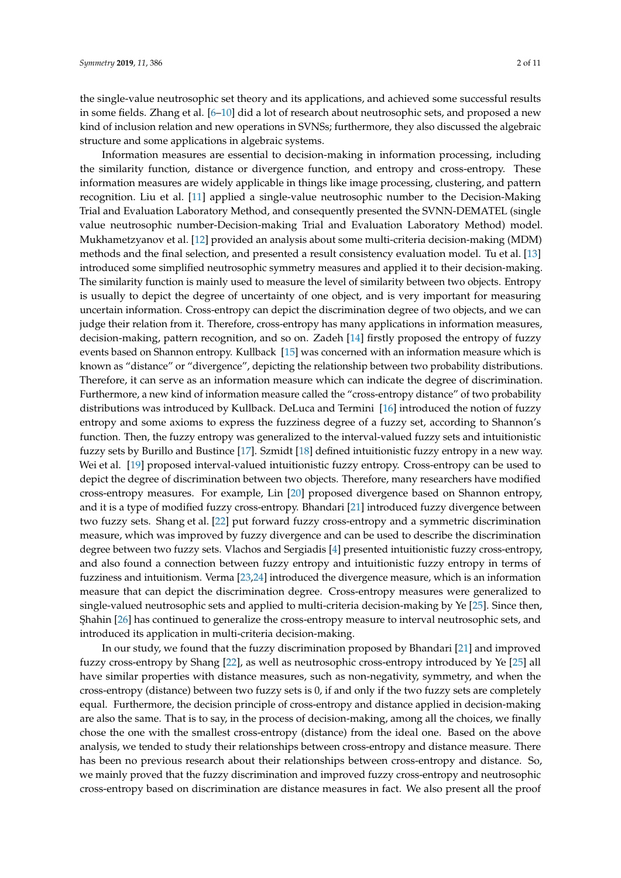the single-value neutrosophic set theory and its applications, and achieved some successful results in some fields. Zhang et al. [\[6](#page-10-0)[–10\]](#page-10-1) did a lot of research about neutrosophic sets, and proposed a new kind of inclusion relation and new operations in SVNSs; furthermore, they also discussed the algebraic structure and some applications in algebraic systems.

Information measures are essential to decision-making in information processing, including the similarity function, distance or divergence function, and entropy and cross-entropy. These information measures are widely applicable in things like image processing, clustering, and pattern recognition. Liu et al. [\[11\]](#page-10-2) applied a single-value neutrosophic number to the Decision-Making Trial and Evaluation Laboratory Method, and consequently presented the SVNN-DEMATEL (single value neutrosophic number-Decision-making Trial and Evaluation Laboratory Method) model. Mukhametzyanov et al. [\[12\]](#page-10-3) provided an analysis about some multi-criteria decision-making (MDM) methods and the final selection, and presented a result consistency evaluation model. Tu et al. [\[13\]](#page-10-4) introduced some simplified neutrosophic symmetry measures and applied it to their decision-making. The similarity function is mainly used to measure the level of similarity between two objects. Entropy is usually to depict the degree of uncertainty of one object, and is very important for measuring uncertain information. Cross-entropy can depict the discrimination degree of two objects, and we can judge their relation from it. Therefore, cross-entropy has many applications in information measures, decision-making, pattern recognition, and so on. Zadeh [\[14\]](#page-10-5) firstly proposed the entropy of fuzzy events based on Shannon entropy. Kullback [\[15\]](#page-10-6) was concerned with an information measure which is known as "distance" or "divergence", depicting the relationship between two probability distributions. Therefore, it can serve as an information measure which can indicate the degree of discrimination. Furthermore, a new kind of information measure called the "cross-entropy distance" of two probability distributions was introduced by Kullback. DeLuca and Termini [\[16\]](#page-10-7) introduced the notion of fuzzy entropy and some axioms to express the fuzziness degree of a fuzzy set, according to Shannon's function. Then, the fuzzy entropy was generalized to the interval-valued fuzzy sets and intuitionistic fuzzy sets by Burillo and Bustince [\[17\]](#page-10-8). Szmidt [\[18\]](#page-10-9) defined intuitionistic fuzzy entropy in a new way. Wei et al. [\[19\]](#page-10-10) proposed interval-valued intuitionistic fuzzy entropy. Cross-entropy can be used to depict the degree of discrimination between two objects. Therefore, many researchers have modified cross-entropy measures. For example, Lin [\[20\]](#page-10-11) proposed divergence based on Shannon entropy, and it is a type of modified fuzzy cross-entropy. Bhandari [\[21\]](#page-10-12) introduced fuzzy divergence between two fuzzy sets. Shang et al. [\[22\]](#page-10-13) put forward fuzzy cross-entropy and a symmetric discrimination measure, which was improved by fuzzy divergence and can be used to describe the discrimination degree between two fuzzy sets. Vlachos and Sergiadis [\[4\]](#page-9-3) presented intuitionistic fuzzy cross-entropy, and also found a connection between fuzzy entropy and intuitionistic fuzzy entropy in terms of fuzziness and intuitionism. Verma [\[23](#page-10-14)[,24\]](#page-10-15) introduced the divergence measure, which is an information measure that can depict the discrimination degree. Cross-entropy measures were generalized to single-valued neutrosophic sets and applied to multi-criteria decision-making by Ye [\[25\]](#page-10-16). Since then, ¸Shahin [\[26\]](#page-10-17) has continued to generalize the cross-entropy measure to interval neutrosophic sets, and introduced its application in multi-criteria decision-making.

In our study, we found that the fuzzy discrimination proposed by Bhandari [\[21\]](#page-10-12) and improved fuzzy cross-entropy by Shang [\[22\]](#page-10-13), as well as neutrosophic cross-entropy introduced by Ye [\[25\]](#page-10-16) all have similar properties with distance measures, such as non-negativity, symmetry, and when the cross-entropy (distance) between two fuzzy sets is 0, if and only if the two fuzzy sets are completely equal. Furthermore, the decision principle of cross-entropy and distance applied in decision-making are also the same. That is to say, in the process of decision-making, among all the choices, we finally chose the one with the smallest cross-entropy (distance) from the ideal one. Based on the above analysis, we tended to study their relationships between cross-entropy and distance measure. There has been no previous research about their relationships between cross-entropy and distance. So, we mainly proved that the fuzzy discrimination and improved fuzzy cross-entropy and neutrosophic cross-entropy based on discrimination are distance measures in fact. We also present all the proof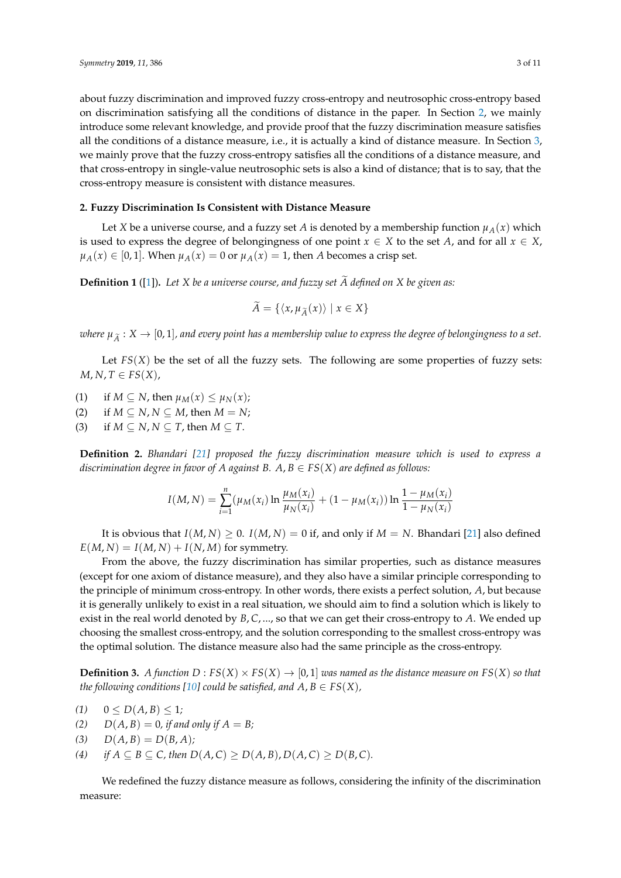about fuzzy discrimination and improved fuzzy cross-entropy and neutrosophic cross-entropy based on discrimination satisfying all the conditions of distance in the paper. In Section [2,](#page-2-0) we mainly introduce some relevant knowledge, and provide proof that the fuzzy discrimination measure satisfies all the conditions of a distance measure, i.e., it is actually a kind of distance measure. In Section [3,](#page-5-0) we mainly prove that the fuzzy cross-entropy satisfies all the conditions of a distance measure, and that cross-entropy in single-value neutrosophic sets is also a kind of distance; that is to say, that the cross-entropy measure is consistent with distance measures.

### <span id="page-2-0"></span>**2. Fuzzy Discrimination Is Consistent with Distance Measure**

Let *X* be a universe course, and a fuzzy set *A* is denoted by a membership function  $\mu_A(x)$  which is used to express the degree of belongingness of one point  $x \in X$  to the set *A*, and for all  $x \in X$ ,  $\mu_A(x) \in [0,1]$ . When  $\mu_A(x) = 0$  or  $\mu_A(x) = 1$ , then *A* becomes a crisp set.

**Definition 1** ([\[1\]](#page-9-0)). Let *X* be a universe course, and fuzzy set  $\tilde{A}$  defined on *X* be given as:

$$
\widetilde{A} = \{ \langle x, \mu_{\widetilde{A}}(x) \rangle \mid x \in X \}
$$

*where*  $\mu_{\tilde{A}} : X \to [0,1]$ , and every point has a membership value to express the degree of belongingness to a set.

Let  $FS(X)$  be the set of all the fuzzy sets. The following are some properties of fuzzy sets:  $M, N, T \in FS(X)$ ,

(1) if  $M \subseteq N$ , then  $\mu_M(x) \leq \mu_N(x)$ ;

- (2) if  $M \subseteq N$ ,  $N \subseteq M$ , then  $M = N$ ;
- (3) if  $M \subseteq N$ ,  $N \subseteq T$ , then  $M \subseteq T$ .

**Definition 2.** *Bhandari [\[21\]](#page-10-12) proposed the fuzzy discrimination measure which is used to express a discrimination degree in favor of A against B.*  $A$ *,*  $B \in FS(X)$  *are defined as follows:* 

$$
I(M, N) = \sum_{i=1}^{n} (\mu_M(x_i) \ln \frac{\mu_M(x_i)}{\mu_N(x_i)} + (1 - \mu_M(x_i)) \ln \frac{1 - \mu_M(x_i)}{1 - \mu_N(x_i)}
$$

It is obvious that  $I(M, N) \geq 0$ .  $I(M, N) = 0$  if, and only if  $M = N$ . Bhandari [\[21\]](#page-10-12) also defined  $E(M, N) = I(M, N) + I(N, M)$  for symmetry.

From the above, the fuzzy discrimination has similar properties, such as distance measures (except for one axiom of distance measure), and they also have a similar principle corresponding to the principle of minimum cross-entropy. In other words, there exists a perfect solution, *A*, but because it is generally unlikely to exist in a real situation, we should aim to find a solution which is likely to exist in the real world denoted by *B*, *C*, ..., so that we can get their cross-entropy to *A*. We ended up choosing the smallest cross-entropy, and the solution corresponding to the smallest cross-entropy was the optimal solution. The distance measure also had the same principle as the cross-entropy.

**Definition 3.** *A function*  $D : FS(X) \times FS(X) \to [0,1]$  *was named as the distance measure on*  $FS(X)$  *so that the following conditions [\[10\]](#page-10-1) could be satisfied, and*  $A, B \in FS(X)$ *,* 

- $(1)$   $0 \leq D(A, B) \leq 1$ ;
- (2)  $D(A, B) = 0$ , *if and only if*  $A = B$ ;
- $D(A, B) = D(B, A);$
- (4) *if*  $A \subseteq B \subseteq C$ , then  $D(A, C) \ge D(A, B)$ ,  $D(A, C) \ge D(B, C)$ .

We redefined the fuzzy distance measure as follows, considering the infinity of the discrimination measure: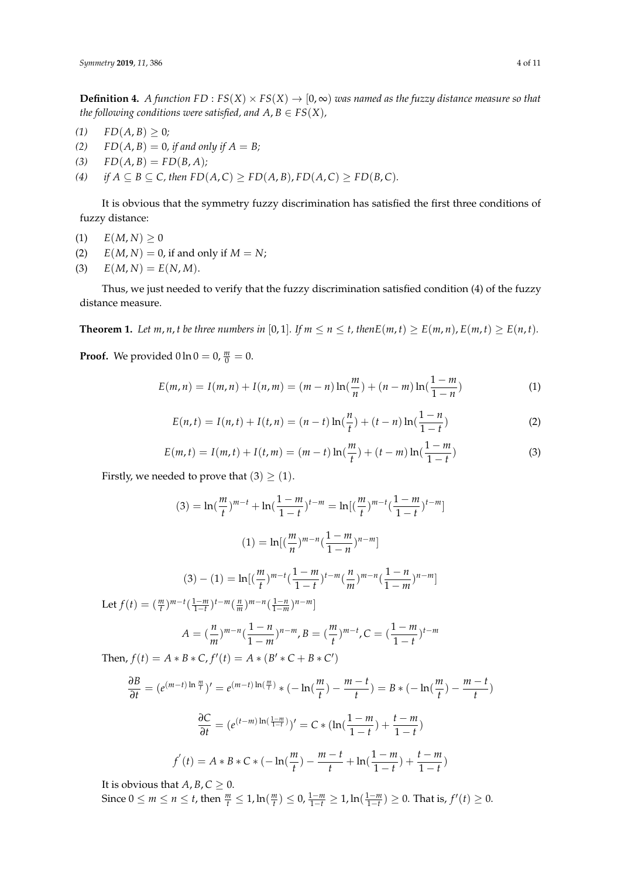**Definition 4.** *A function*  $FD : FS(X) \times FS(X) \to [0, \infty)$  *was named as the fuzzy distance measure so that the following conditions were satisfied, and*  $A, B \in FS(X)$ *,* 

- $f(1)$   $FD(A, B) \geq 0;$
- (2)  $FD(A, B) = 0$ , *if and only if*  $A = B$ ;
- $FD(A, B) = FD(B, A);$
- (4) *if*  $A \subseteq B \subseteq C$ , then  $FD(A, C) \ge FD(A, B)$ ,  $FD(A, C) \ge FD(B, C)$ .

It is obvious that the symmetry fuzzy discrimination has satisfied the first three conditions of fuzzy distance:

- $E(M, N) \ge 0$
- (2)  $E(M, N) = 0$ , if and only if  $M = N$ ;
- (3)  $E(M, N) = E(N, M).$

Thus, we just needed to verify that the fuzzy discrimination satisfied condition (4) of the fuzzy distance measure.

**Theorem 1.** Let m, n, t be three numbers in [0, 1]. If  $m \le n \le t$ , then  $E(m, t) \ge E(m, n)$ ,  $E(m, t) \ge E(n, t)$ .

**Proof.** We provided  $0 \ln 0 = 0$ ,  $\frac{m}{0} = 0$ .

$$
E(m, n) = I(m, n) + I(n, m) = (m - n) \ln(\frac{m}{n}) + (n - m) \ln(\frac{1 - m}{1 - n})
$$
\n(1)

$$
E(n,t) = I(n,t) + I(t,n) = (n-t)\ln(\frac{n}{t}) + (t-n)\ln(\frac{1-n}{1-t})
$$
\n(2)

$$
E(m,t) = I(m,t) + I(t,m) = (m-t)\ln(\frac{m}{t}) + (t-m)\ln(\frac{1-m}{1-t})
$$
\n(3)

Firstly, we needed to prove that  $(3) \geq (1)$ .

$$
(3) = \ln(\frac{m}{t})^{m-t} + \ln(\frac{1-m}{1-t})^{t-m} = \ln[(\frac{m}{t})^{m-t}(\frac{1-m}{1-t})^{t-m}]
$$

$$
(1) = \ln[(\frac{m}{n})^{m-n}(\frac{1-m}{1-n})^{n-m}]
$$

$$
(3) - (1) = \ln[(\frac{m}{t})^{m-t}(\frac{1-m}{1-t})^{t-m}(\frac{n}{m})^{m-n}(\frac{1-n}{1-m})^{n-m}]
$$

Let  $f(t) = \left(\frac{m}{t}\right)^{m-t} \left(\frac{1-m}{1-t}\right)^{t-m} \left(\frac{n}{m}\right)^{m-n} \left(\frac{1-n}{1-m}\right)^{n-m}$ 

$$
A = \left(\frac{n}{m}\right)^{m-n} \left(\frac{1-n}{1-m}\right)^{n-m}, B = \left(\frac{m}{t}\right)^{m-t}, C = \left(\frac{1-m}{1-t}\right)^{t-m}
$$

Then,  $f(t) = A * B * C$ ,  $f'(t) = A * (B' * C + B * C')$ 

$$
\frac{\partial B}{\partial t} = (e^{(m-t)\ln\frac{m}{t}})' = e^{(m-t)\ln(\frac{m}{t})} * (-\ln(\frac{m}{t}) - \frac{m-t}{t}) = B * (-\ln(\frac{m}{t}) - \frac{m-t}{t})
$$

$$
\frac{\partial C}{\partial t} = (e^{(t-m)\ln(\frac{1-m}{1-t})})' = C * (\ln(\frac{1-m}{1-t}) + \frac{t-m}{1-t})
$$

$$
f'(t) = A * B * C * (-\ln(\frac{m}{t}) - \frac{m-t}{t} + \ln(\frac{1-m}{1-t}) + \frac{t-m}{1-t})
$$

It is obvious that  $A$ ,  $B$ ,  $C > 0$ .

Since  $0 \le m \le n \le t$ , then  $\frac{m}{t} \le 1$ ,  $\ln(\frac{m}{t}) \le 0$ ,  $\frac{1-m}{1-t} \ge 1$ ,  $\ln(\frac{1-m}{1-t}) \ge 0$ . That is,  $f'(t) \ge 0$ .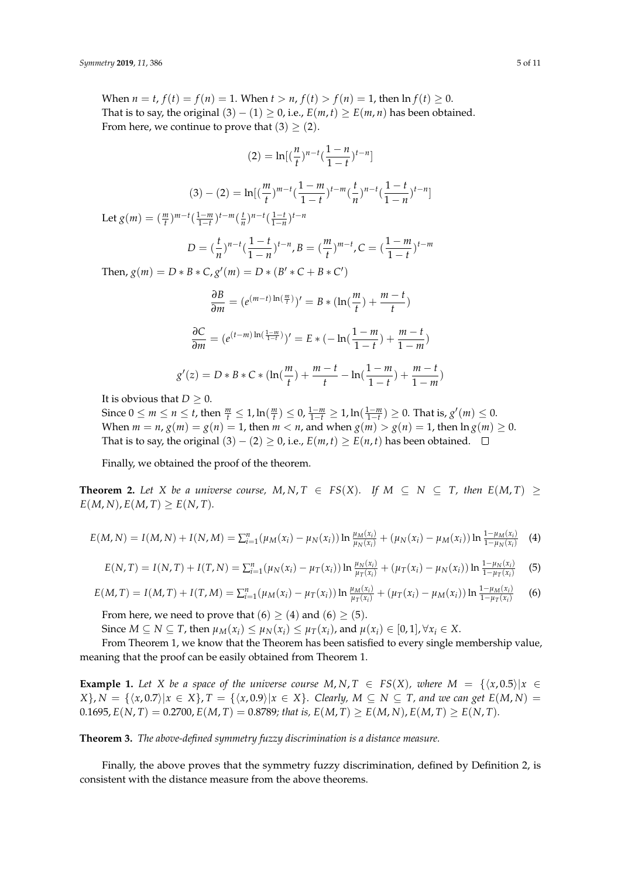When  $n = t$ ,  $f(t) = f(n) = 1$ . When  $t > n$ ,  $f(t) > f(n) = 1$ , then  $\ln f(t) \ge 0$ . That is to say, the original  $(3) - (1) \ge 0$ , i.e.,  $E(m, t) \ge E(m, n)$  has been obtained. From here, we continue to prove that  $(3) \geq (2)$ .

$$
(2) = \ln[(\frac{n}{t})^{n-t}(\frac{1-n}{1-t})^{t-n}]
$$

$$
(3) - (2) = \ln\left[\left(\frac{m}{t}\right)^{m-t}\left(\frac{1-m}{1-t}\right)^{t-m}\left(\frac{t}{n}\right)^{n-t}\left(\frac{1-t}{1-n}\right)^{t-n}\right]
$$

Let  $g(m) = \left(\frac{m}{t}\right)^{m-t} \left(\frac{1-m}{1-t}\right)^{t-m} \left(\frac{t}{n}\right)^{n-t} \left(\frac{1-t}{1-n}\right)^{t-n}$ 

$$
D = \left(\frac{t}{n}\right)^{n-t} \left(\frac{1-t}{1-n}\right)^{t-n}, B = \left(\frac{m}{t}\right)^{m-t}, C = \left(\frac{1-m}{1-t}\right)^{t-m}
$$

Then,  $g(m) = D * B * C$ ,  $g'(m) = D * (B' * C + B * C')$ 

$$
\frac{\partial B}{\partial m} = (e^{(m-t)\ln(\frac{m}{t})})' = B * (\ln(\frac{m}{t}) + \frac{m-t}{t})
$$

$$
\frac{\partial C}{\partial m} = (e^{(t-m)\ln(\frac{1-m}{1-t})})' = E * (-\ln(\frac{1-m}{1-t}) + \frac{m-t}{1-m})
$$

$$
(z) = D * B * C * (\ln(\frac{m}{t}) + \frac{m-t}{t} - \ln(\frac{1-m}{1-t}) + \frac{m-t}{1-m})
$$

It is obvious that  $D > 0$ .

*g* 0

Since  $0 \le m \le n \le t$ , then  $\frac{m}{t} \le 1$ ,  $\ln(\frac{m}{t}) \le 0$ ,  $\frac{1-m}{1-t} \ge 1$ ,  $\ln(\frac{1-m}{1-t}) \ge 0$ . That is,  $g'(m) \le 0$ . When  $m = n$ ,  $g(m) = g(n) = 1$ , then  $m < n$ , and when  $g(m) > g(n) = 1$ , then  $\ln g(m) \ge 0$ . That is to say, the original (3) − (2) ≥ 0, i.e.,  $E(m, t)$  ≥  $E(n, t)$  has been obtained.  $□$ 

Finally, we obtained the proof of the theorem.

**Theorem 2.** Let *X* be a universe course, *M*, *N*, *T*  $\in$  *FS*(*X*)*.* If *M*  $\subseteq$  *N*  $\subseteq$  *T*, then  $E(M,T) \ge$  $E(M, N), E(M, T) \ge E(N, T).$ 

$$
E(M, N) = I(M, N) + I(N, M) = \sum_{i=1}^{n} (\mu_M(x_i) - \mu_N(x_i)) \ln \frac{\mu_M(x_i)}{\mu_N(x_i)} + (\mu_N(x_i) - \mu_M(x_i)) \ln \frac{1 - \mu_M(x_i)}{1 - \mu_N(x_i)}
$$
(4)

$$
E(N,T) = I(N,T) + I(T,N) = \sum_{i=1}^{n} (\mu_N(x_i) - \mu_T(x_i)) \ln \frac{\mu_N(x_i)}{\mu_T(x_i)} + (\mu_T(x_i) - \mu_N(x_i)) \ln \frac{1 - \mu_N(x_i)}{1 - \mu_T(x_i)}
$$
(5)

$$
E(M,T) = I(M,T) + I(T,M) = \sum_{i=1}^{n} (\mu_M(x_i) - \mu_T(x_i)) \ln \frac{\mu_M(x_i)}{\mu_T(x_i)} + (\mu_T(x_i) - \mu_M(x_i)) \ln \frac{1 - \mu_M(x_i)}{1 - \mu_T(x_i)}
$$
(6)

From here, we need to prove that  $(6) \ge (4)$  and  $(6) \ge (5)$ .

Since  $M \subseteq N \subseteq T$ , then  $\mu_M(x_i) \leq \mu_N(x_i) \leq \mu_T(x_i)$ , and  $\mu(x_i) \in [0,1]$ ,  $\forall x_i \in X$ .

From Theorem 1, we know that the Theorem has been satisfied to every single membership value, meaning that the proof can be easily obtained from Theorem 1.

**Example 1.** Let *X* be a space of the universe course M, N,  $T \in FS(X)$ , where  $M = \{ \langle x, 0.5 \rangle | x \in$ *X*}, *N* = { $\langle x, 0.7 \rangle | x \in X$ }, *T* = { $\langle x, 0.9 \rangle | x \in X$ }. Clearly, *M* ⊆ *N* ⊆ *T*, and we can get *E*(*M*, *N*) = 0.1695,  $E(N, T) = 0.2700$ ,  $E(M, T) = 0.8789$ ; that is,  $E(M, T) \ge E(M, N)$ ,  $E(M, T) \ge E(N, T)$ .

**Theorem 3.** *The above-defined symmetry fuzzy discrimination is a distance measure.*

Finally, the above proves that the symmetry fuzzy discrimination, defined by Definition 2, is consistent with the distance measure from the above theorems.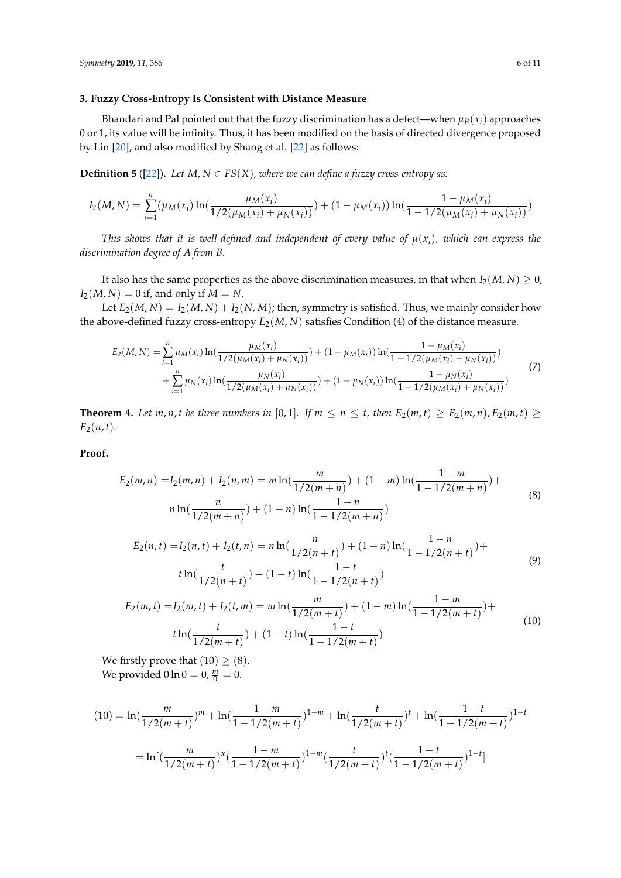#### <span id="page-5-0"></span>**3. Fuzzy Cross-Entropy Is Consistent with Distance Measure**

Bhandari and Pal pointed out that the fuzzy discrimination has a defect—when  $\mu_B(x_i)$  approaches 0 or 1, its value will be infinity. Thus, it has been modified on the basis of directed divergence proposed by Lin [\[20\]](#page-10-11), and also modified by Shang et al. [\[22\]](#page-10-13) as follows:

**Definition 5** ([\[22\]](#page-10-13)). *Let*  $M, N \in FS(X)$ , where we can define a fuzzy cross-entropy as:

$$
I_2(M,N) = \sum_{i=1}^n (\mu_M(x_i) \ln(\frac{\mu_M(x_i)}{1/2(\mu_M(x_i) + \mu_N(x_i)))}) + (1 - \mu_M(x_i)) \ln(\frac{1 - \mu_M(x_i)}{1 - 1/2(\mu_M(x_i) + \mu_N(x_i)))})
$$

*This shows that it is well-defined and independent of every value of*  $\mu(x_i)$ *, which can express the discrimination degree of A from B.*

It also has the same properties as the above discrimination measures, in that when  $I_2(M, N) \geq 0$ ,  $I_2(M, N) = 0$  if, and only if  $M = N$ .

Let  $E_2(M, N) = I_2(M, N) + I_2(N, M)$ ; then, symmetry is satisfied. Thus, we mainly consider how the above-defined fuzzy cross-entropy  $E_2(M, N)$  satisfies Condition (4) of the distance measure.

$$
E_2(M,N) = \sum_{i=1}^n \mu_M(x_i) \ln(\frac{\mu_M(x_i)}{1/2(\mu_M(x_i) + \mu_N(x_i))}) + (1 - \mu_M(x_i)) \ln(\frac{1 - \mu_M(x_i)}{1 - 1/2(\mu_M(x_i) + \mu_N(x_i))}) + \sum_{i=1}^n \mu_N(x_i) \ln(\frac{\mu_N(x_i)}{1/2(\mu_M(x_i) + \mu_N(x_i))}) + (1 - \mu_N(x_i)) \ln(\frac{1 - \mu_N(x_i)}{1 - 1/2(\mu_M(x_i) + \mu_N(x_i))})
$$
(7)

**Theorem 4.** Let m, n, t be three numbers in [0,1]. If  $m \le n \le t$ , then  $E_2(m,t) \ge E_2(m,n)$ ,  $E_2(m,t) \ge$  $E_2(n, t)$ .

**Proof.**

$$
E_2(m,n) = I_2(m,n) + I_2(n,m) = m \ln(\frac{m}{1/2(m+n)}) + (1-m) \ln(\frac{1-m}{1-1/2(m+n)}) +
$$
  
\n
$$
n \ln(\frac{n}{1/2(m+n)}) + (1-n) \ln(\frac{1-n}{1-1/2(m+n)})
$$
  
\n
$$
E_2(n,t) = I_2(n,t) + I_2(t,n) = n \ln(\frac{n}{1/2(n+t)}) + (1-n) \ln(\frac{1-n}{1-1/2(n+t)}) +
$$
  
\n
$$
t \ln(\frac{t}{1/2(n+t)}) + (1-t) \ln(\frac{1-t}{1-1/2(n+t)})
$$
  
\n
$$
E_2(m,t) = I_2(m,t) + I_2(t,m) = m \ln(\frac{m}{1/2(m+t)}) + (1-m) \ln(\frac{1-m}{1-1/2(m+t)}) +
$$
  
\n
$$
t \ln(\frac{t}{1/2(m+t)}) + (1-t) \ln(\frac{1-t}{1-1/2(m+t)})
$$
  
\n(10)

We firstly prove that  $(10) \geq (8)$ . We provided  $0 \ln 0 = 0$ ,  $\frac{m}{0} = 0$ .

$$
(10) = \ln\left(\frac{m}{1/2(m+t)}\right)^m + \ln\left(\frac{1-m}{1-1/2(m+t)}\right)^{1-m} + \ln\left(\frac{t}{1/2(m+t)}\right)^t + \ln\left(\frac{1-t}{1-1/2(m+t)}\right)^{1-t}
$$

$$
= \ln\left[\left(\frac{m}{1/2(m+t)}\right)^x \left(\frac{1-m}{1-1/2(m+t)}\right)^{1-m} \left(\frac{t}{1/2(m+t)}\right)^t \left(\frac{1-t}{1-1/2(m+t)}\right)^{1-t}\right]
$$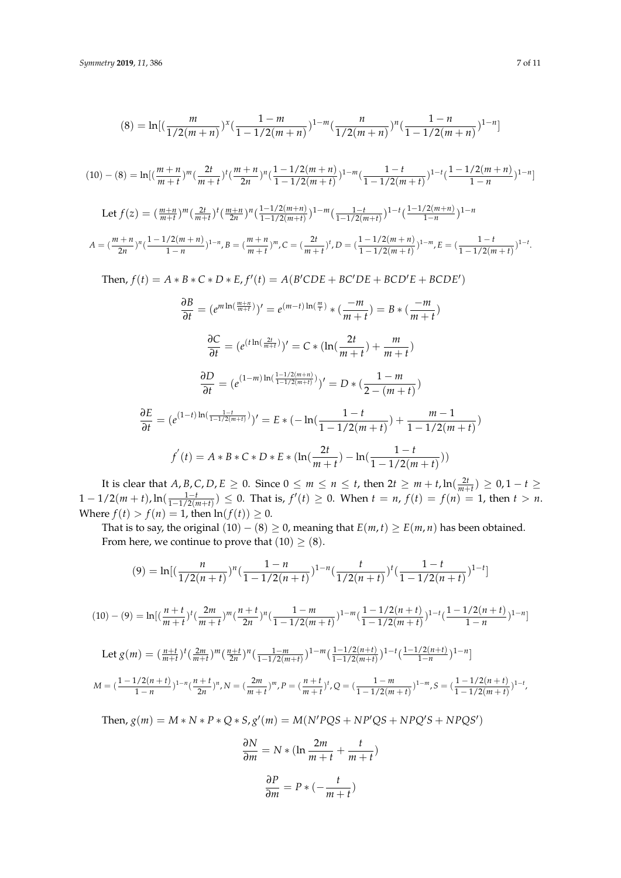$$
(8) = \ln\left[\left(\frac{m}{1/2(m+n)}\right)^{x}\left(\frac{1-m}{1-1/2(m+n)}\right)^{1-m}\left(\frac{n}{1/2(m+n)}\right)^{n}\left(\frac{1-n}{1-1/2(m+n)}\right)^{1-n}\right]
$$
\n
$$
(10) - (8) = \ln\left[\frac{(m+n)}{m+t}\right)^{m}\left(\frac{2t}{m+t}\right)^{t}\left(\frac{m+n}{2n}\right)^{n}\left(\frac{1-1/2(m+n)}{1-1/2(m+t)}\right)^{1-m}\left(\frac{1-t}{1-1/2(m+t)}\right)^{1-t}\left(\frac{1-1/2(m+n)}{1-n}\right)^{1-n}\right]
$$
\nLet  $f(z) = \left(\frac{m+n}{m+t}\right)^{m}\left(\frac{2t}{m+t}\right)^{t}\left(\frac{m+n}{2n}\right)^{n}\left(\frac{1-1/2(m+n)}{1-1/2(m+t)}\right)^{1-m}\left(\frac{1-t}{1-1/2(m+t)}\right)^{1-t}\left(\frac{1-1/2(m+n)}{1-n}\right)^{1-n}$   
\n
$$
A = \left(\frac{m+n}{2n}\right)^{n}\left(\frac{1-1/2(m+n)}{1-n}\right)^{1-n}, B = \left(\frac{m+n}{m+t}\right)^{m}, C = \left(\frac{2t}{m+t}\right)^{t}, D = \left(\frac{1-1/2(m+n)}{1-1/2(m+t)}\right)^{1-m}, E = \left(\frac{1-t}{1-1/2(m+t)}\right)^{1-t}.
$$
\nThen,  $f(t) = A * B * C * D * E$ ,  $f'(t) = A(B'CDE + BC'DE + BCD'E + BCDE')$   
\n
$$
\frac{\partial B}{\partial t} = (e^{m \ln\left(\frac{m+n}{m+t}\right)})' = e^{(m-t)\ln\left(\frac{m}{t}\right)} * \left(\frac{-m}{m+t}\right) = B * \left(\frac{-m}{m+t}\right)
$$
\n
$$
\frac{\partial C}{\partial t} = (e^{(t\ln\left(\frac{2t}{m+t}\right)})' = C * \left(\ln\left(\frac{2t}{m+t}\right) + \frac{m}{m+t}\right)
$$
\n
$$
\frac{\partial D}{\partial t} = (e^{(1-m)\ln\left(\frac{1-1/2(m+n)}{1-1/2(m+t)}\right)})'
$$

It is clear that  $A$ ,  $B$ ,  $C$ ,  $D$ ,  $E \ge 0$ . Since  $0 \le m \le n \le t$ , then  $2t \ge m + t$ ,  $\ln(\frac{2t}{m+t}) \ge 0$ ,  $1-t \ge t$  $1 - 1/2(m + t)$ ,  $\ln(\frac{1-t}{1-1/2(m+t)}) \le 0$ . That is,  $f'(t) \ge 0$ . When  $t = n$ ,  $f(t) = f(n) = 1$ , then  $t > n$ . Where  $f(t) > f(n) = 1$ , then  $\ln(f(t)) \ge 0$ .

That is to say, the original  $(10) - (8) \ge 0$ , meaning that  $E(m, t) \ge E(m, n)$  has been obtained. From here, we continue to prove that  $(10) \geq (8)$ .

$$
(9) = \ln\left[\left(\frac{n}{1/2(n+t)}\right)^n\left(\frac{1-n}{1-1/2(n+t)}\right)^{1-n}\left(\frac{t}{1/2(n+t)}\right)^t\left(\frac{1-t}{1-1/2(n+t)}\right)^{1-t}\right]
$$

$$
(10) - (9) = \ln\left[\left(\frac{n+t}{m+t}\right)^t\left(\frac{2m}{m+t}\right)^m\left(\frac{n+t}{2n}\right)^n\left(\frac{1-m}{1-1/2(m+t)}\right)^{1-m}\left(\frac{1-1/2(n+t)}{1-1/2(m+t)}\right)^{1-t}\left(\frac{1-1/2(n+t)}{1-n}\right)^{1-n}\right]
$$

$$
\text{Let } g(m) = \left(\frac{n+t}{m+t}\right)^t\left(\frac{2m}{m+t}\right)^m\left(\frac{n+t}{2n}\right)^n\left(\frac{1-m}{1-1/2(m+t)}\right)^{1-m}\left(\frac{1-1/2(n+t)}{1-1/2(m+t)}\right)^{1-t}\left(\frac{1-1/2(n+t)}{1-n}\right)^{1-n}\right]
$$

$$
M = \left(\frac{1 - 1/2(n+t)}{1 - n}\right)^{1 - n} \left(\frac{n+t}{2n}\right)^n, N = \left(\frac{2m}{m+t}\right)^m, P = \left(\frac{n+t}{m+t}\right)^t, Q = \left(\frac{1 - m}{1 - 1/2(m+t)}\right)^{1 - m}, S = \left(\frac{1 - 1/2(n+t)}{1 - 1/2(m+t)}\right)^{1 - t},
$$

 $\text{Then, } g(m) = M * N * P * Q * S, g'(m) = M(N'PQS + NP'QS + NPQ'S + NPQS')$ 

$$
\frac{\partial N}{\partial m} = N * (\ln \frac{2m}{m+t} + \frac{t}{m+t})
$$

$$
\frac{\partial P}{\partial m} = P * (-\frac{t}{m+t})
$$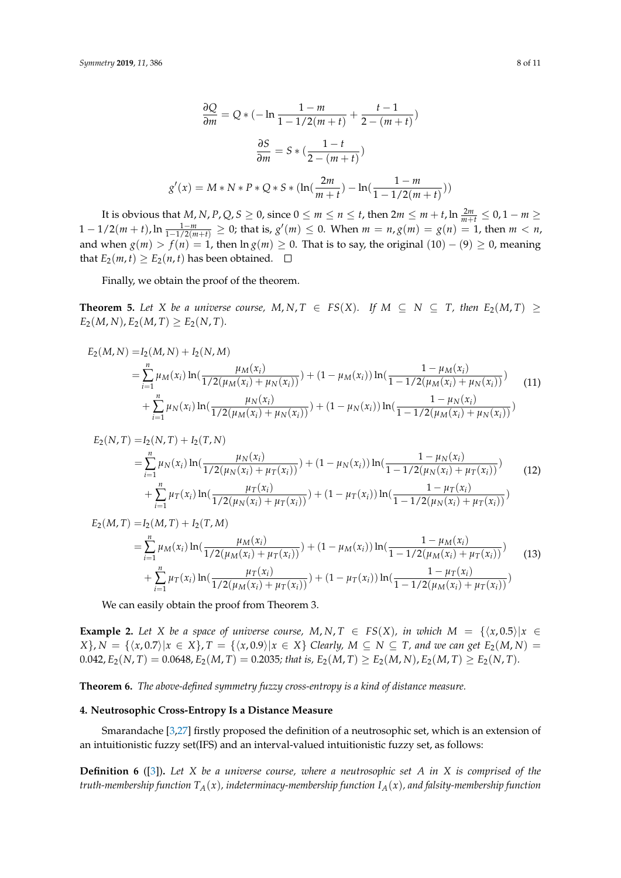$$
\frac{\partial Q}{\partial m} = Q * (-\ln \frac{1-m}{1 - 1/2(m+t)} + \frac{t-1}{2 - (m+t)})
$$

$$
\frac{\partial S}{\partial m} = S * (\frac{1-t}{2 - (m+t)})
$$

$$
g'(x) = M * N * P * Q * S * (\ln(\frac{2m}{m+t}) - \ln(\frac{1-m}{1 - 1/2(m+t)}))
$$

It is obvious that *M*, *N*, *P*, *Q*, *S*  $\geq$  0, since  $0 \leq m \leq n \leq t$ , then  $2m \leq m + t$ ,  $\ln \frac{2m}{m+t} \leq 0, 1 - m \geq 0$  $1 - 1/2(m + t)$ , ln  $\frac{1 - m}{1 - 1/2(m + t)}$  ≥ 0; that is,  $g'(m) \le 0$ . When  $m = n$ ,  $g(m) = g(n) = 1$ , then  $m < n$ , and when  $g(m) > f(n) = 1$ , then  $\ln g(m) \ge 0$ . That is to say, the original  $(10) - (9) \ge 0$ , meaning that  $E_2(m, t) \ge E_2(n, t)$  has been obtained.  $\square$ 

Finally, we obtain the proof of the theorem.

**Theorem 5.** Let *X* be a universe course, M, N, T  $\in$  FS(*X*). If  $M \subseteq N \subseteq T$ , then  $E_2(M,T) \ge$  $E_2(M, N), E_2(M, T) \ge E_2(N, T).$ 

$$
E_2(M, N) = I_2(M, N) + I_2(N, M)
$$
  
\n
$$
= \sum_{i=1}^n \mu_M(x_i) \ln(\frac{\mu_M(x_i)}{1/2(\mu_M(x_i) + \mu_N(x_i))}) + (1 - \mu_M(x_i)) \ln(\frac{1 - \mu_M(x_i)}{1 - 1/2(\mu_M(x_i) + \mu_N(x_i))})
$$
(11)  
\n
$$
+ \sum_{i=1}^n \mu_N(x_i) \ln(\frac{\mu_N(x_i)}{1/2(\mu_M(x_i) + \mu_N(x_i))}) + (1 - \mu_N(x_i)) \ln(\frac{1 - \mu_N(x_i)}{1 - 1/2(\mu_M(x_i) + \mu_N(x_i))})
$$

$$
E_2(N,T) = I_2(N,T) + I_2(T,N)
$$
  
= 
$$
\sum_{i=1}^n \mu_N(x_i) \ln(\frac{\mu_N(x_i)}{1/2(\mu_N(x_i) + \mu_T(x_i))}) + (1 - \mu_N(x_i)) \ln(\frac{1 - \mu_N(x_i)}{1 - 1/2(\mu_N(x_i) + \mu_T(x_i))})
$$
  
+ 
$$
\sum_{i=1}^n \mu_T(x_i) \ln(\frac{\mu_T(x_i)}{1/2(\mu_N(x_i) + \mu_T(x_i))}) + (1 - \mu_T(x_i)) \ln(\frac{1 - \mu_T(x_i)}{1 - 1/2(\mu_N(x_i) + \mu_T(x_i))})
$$
(12)

$$
E_2(M,T) = I_2(M,T) + I_2(T,M)
$$
  
\n
$$
= \sum_{i=1}^n \mu_M(x_i) \ln(\frac{\mu_M(x_i)}{1/2(\mu_M(x_i) + \mu_T(x_i))}) + (1 - \mu_M(x_i)) \ln(\frac{1 - \mu_M(x_i)}{1 - 1/2(\mu_M(x_i) + \mu_T(x_i))})
$$
(13)  
\n
$$
+ \sum_{i=1}^n \mu_T(x_i) \ln(\frac{\mu_T(x_i)}{1/2(\mu_M(x_i) + \mu_T(x_i))}) + (1 - \mu_T(x_i)) \ln(\frac{1 - \mu_T(x_i)}{1 - 1/2(\mu_M(x_i) + \mu_T(x_i))})
$$

We can easily obtain the proof from Theorem 3.

**Example 2.** Let *X* be a space of universe course, M, N, T ∈ FS(X), in which  $M = \{x, 0.5\} | x \in$ *X*}, *N* = { $\langle x, 0.7 \rangle | x \in X$ }, *T* = { $\langle x, 0.9 \rangle | x \in X$ } *Clearly, M* ⊆ *N* ⊆ *T*, and we can get  $E_2(M, N)$  = 0.042,  $E_2(N, T) = 0.0648$ ,  $E_2(M, T) = 0.2035$ ; that is,  $E_2(M, T) \ge E_2(M, N)$ ,  $E_2(M, T) \ge E_2(N, T)$ .

**Theorem 6.** *The above-defined symmetry fuzzy cross-entropy is a kind of distance measure.*

#### **4. Neutrosophic Cross-Entropy Is a Distance Measure**

Smarandache [\[3,](#page-9-2)[27\]](#page-10-18) firstly proposed the definition of a neutrosophic set, which is an extension of an intuitionistic fuzzy set(IFS) and an interval-valued intuitionistic fuzzy set, as follows:

**Definition 6** ([\[3\]](#page-9-2))**.** *Let X be a universe course, where a neutrosophic set A in X is comprised of the truth-membership function TA*(*x*)*, indeterminacy-membership function IA*(*x*)*, and falsity-membership function*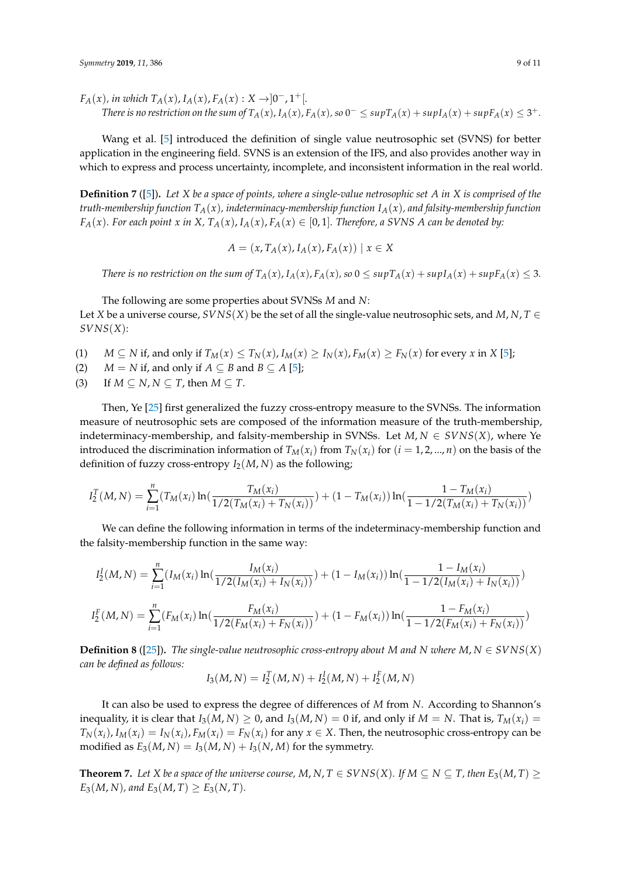*F*<sup>*A*</sup>(*x*), *in which*  $T_A(x)$ , *I*<sup>*A*</sup>(*x*), *F<sub><i>A*</sub>(*x*) : *X* →]0<sup>-</sup>, 1<sup>+</sup>[*.P*</sup> There is no restriction on the sum of  $T_A(x)$ ,  $I_A(x)$ ,  $F_A(x)$ , so  $0^- \leq \sup T_A(x) + \sup I_A(x) + \sup F_A(x) \leq 3^+$ .

Wang et al. [\[5\]](#page-9-4) introduced the definition of single value neutrosophic set (SVNS) for better application in the engineering field. SVNS is an extension of the IFS, and also provides another way in which to express and process uncertainty, incomplete, and inconsistent information in the real world.

**Definition 7** ([\[5\]](#page-9-4))**.** *Let X be a space of points, where a single-value netrosophic set A in X is comprised of the truth-membership function TA*(*x*)*, indeterminacy-membership function IA*(*x*)*, and falsity-membership function*  $F_A(x)$ *. For each point x in X,*  $T_A(x)$ ,  $I_A(x)$ ,  $F_A(x) \in [0,1]$ *. Therefore, a SVNS A can be denoted by:* 

$$
A = (x, T_A(x), I_A(x), F_A(x)) \mid x \in X
$$

There is no restriction on the sum of  $T_A(x)$ ,  $I_A(x)$ ,  $F_A(x)$ , so  $0 \leq \sup T_A(x) + \sup I_A(x) + \sup F_A(x) \leq 3$ .

The following are some properties about SVNSs *M* and *N*: Let *X* be a universe course,  $SVNS(X)$  be the set of all the single-value neutrosophic sets, and *M*, *N*, *T* ∈ *SVNS*(*X*):

- (1)  $M \subseteq N$  if, and only if  $T_M(x) \le T_N(x)$ ,  $I_M(x) \ge I_N(x)$ ,  $F_M(x) \ge F_N(x)$  for every x in X [\[5\]](#page-9-4);
- (2)  $M = N$  if, and only if  $A \subseteq B$  and  $B \subseteq A$  [\[5\]](#page-9-4);
- (3) If  $M \subseteq N$ ,  $N \subseteq T$ , then  $M \subseteq T$ .

Then, Ye [\[25\]](#page-10-16) first generalized the fuzzy cross-entropy measure to the SVNSs. The information measure of neutrosophic sets are composed of the information measure of the truth-membership, indeterminacy-membership, and falsity-membership in SVNSs. Let  $M, N \in S V N S(X)$ , where Ye introduced the discrimination information of  $T_M(x_i)$  from  $T_N(x_i)$  for  $(i = 1, 2, ..., n)$  on the basis of the definition of fuzzy cross-entropy  $I_2(M, N)$  as the following;

$$
I_2^T(M, N) = \sum_{i=1}^n (T_M(x_i) \ln(\frac{T_M(x_i)}{1/2(T_M(x_i) + T_N(x_i)))}) + (1 - T_M(x_i)) \ln(\frac{1 - T_M(x_i)}{1 - 1/2(T_M(x_i) + T_N(x_i)))})
$$

We can define the following information in terms of the indeterminacy-membership function and the falsity-membership function in the same way:

$$
I_2^I(M, N) = \sum_{i=1}^n (I_M(x_i) \ln(\frac{I_M(x_i)}{1/2(I_M(x_i) + I_N(x_i))}) + (1 - I_M(x_i)) \ln(\frac{1 - I_M(x_i)}{1 - 1/2(I_M(x_i) + I_N(x_i))})
$$
  

$$
I_2^F(M, N) = \sum_{i=1}^n (F_M(x_i) \ln(\frac{F_M(x_i)}{1/2(F_M(x_i) + F_N(x_i))}) + (1 - F_M(x_i)) \ln(\frac{1 - F_M(x_i)}{1 - 1/2(F_M(x_i) + F_N(x_i))})
$$

**Definition 8** ([\[25\]](#page-10-16)). *The single-value neutrosophic cross-entropy about M* and *N* where *M*,  $N \in SVNS(X)$ *can be defined as follows:*

$$
I_3(M,N) = I_2^T(M,N) + I_2^I(M,N) + I_2^F(M,N)
$$

It can also be used to express the degree of differences of *M* from *N*. According to Shannon's inequality, it is clear that  $I_3(M, N) \geq 0$ , and  $I_3(M, N) = 0$  if, and only if  $M = N$ . That is,  $T_M(x_i) =$  $T_N(x_i)$ ,  $I_M(x_i) = I_N(x_i)$ ,  $F_M(x_i) = F_N(x_i)$  for any  $x \in X$ . Then, the neutrosophic cross-entropy can be modified as  $E_3(M, N) = I_3(M, N) + I_3(N, M)$  for the symmetry.

**Theorem 7.** Let *X* be a space of the universe course,  $M, N, T \in SVNS(X)$ . If  $M \subseteq N \subseteq T$ , then  $E_3(M, T) \geq$  $E_3(M, N)$ , and  $E_3(M, T) \ge E_3(N, T)$ .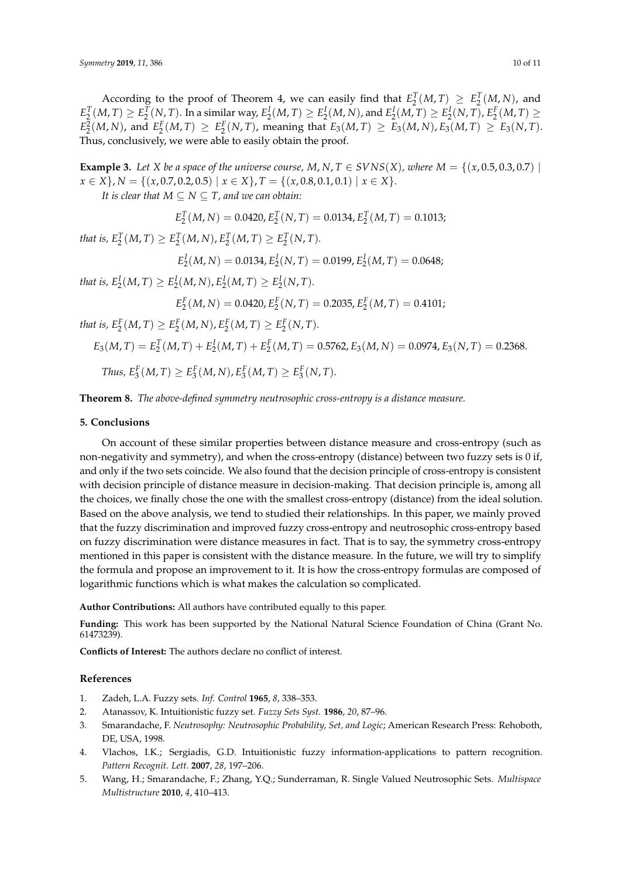According to the proof of Theorem 4, we can easily find that  $E_2^T(M,T) \ge E_2^T(M,N)$ , and  $E^T_2(M,T)\geq E^T_2(N,T).$  In a similar way,  $E^I_2(M,T)\geq E^I_2(M,N)$ , and  $E^I_2(M,T)\geq E^I_2(N,T),$   $E^F_2(M,T)\geq 0$  $E_2^2(M, N)$ , and  $E_2^F(M, T) \ge E_2^F(N, T)$ , meaning that  $E_3(M, T) \ge E_3(M, N)$ ,  $E_3(M, T) \ge E_3(N, T)$ . Thus, conclusively, we were able to easily obtain the proof.

**Example 3.** Let *X* be a space of the universe course, *M*, *N*, *T*  $\in$  *SVNS*(*X*)*, where M* = {(*x*, 0.5, 0.3, 0.7) |  $x \in X$ ,  $N = \{(x, 0.7, 0.2, 0.5) \mid x \in X\}$ ,  $T = \{(x, 0.8, 0.1, 0.1) \mid x \in X\}$ . *It is clear that*  $M \subseteq N \subseteq T$ , and we can obtain:

 $E_2^T(M, N) = 0.0420, E_2^T(N, T) = 0.0134, E_2^T(M, T) = 0.1013;$ 

 $H$  *that is,*  $E_2^T(M,T) \ge E_2^T(M,N), E_2^T(M,T) \ge E_2^T(N,T)$ .

$$
E_2^I(M,N) = 0.0134, E_2^I(N,T) = 0.0199, E_2^I(M,T) = 0.0648;
$$

*that is,*  $E_2^I(M,T) \geq E_2^I(M,N), E_2^I(M,T) \geq E_2^I(N,T)$ .

$$
E_2^F(M, N) = 0.0420, E_2^F(N, T) = 0.2035, E_2^F(M, T) = 0.4101;
$$

*that is,*  $E_2^F(M,T) \ge E_2^F(M,N), E_2^F(M,T) \ge E_2^F(N,T)$ .

$$
E_3(M,T) = E_2^T(M,T) + E_2^T(M,T) + E_2^F(M,T) = 0.5762, E_3(M,N) = 0.0974, E_3(N,T) = 0.2368.
$$

Thus, 
$$
E_3^F(M, T) \ge E_3^F(M, N), E_3^F(M, T) \ge E_3^F(N, T)
$$
.

**Theorem 8.** *The above-defined symmetry neutrosophic cross-entropy is a distance measure.*

## **5. Conclusions**

On account of these similar properties between distance measure and cross-entropy (such as non-negativity and symmetry), and when the cross-entropy (distance) between two fuzzy sets is 0 if, and only if the two sets coincide. We also found that the decision principle of cross-entropy is consistent with decision principle of distance measure in decision-making. That decision principle is, among all the choices, we finally chose the one with the smallest cross-entropy (distance) from the ideal solution. Based on the above analysis, we tend to studied their relationships. In this paper, we mainly proved that the fuzzy discrimination and improved fuzzy cross-entropy and neutrosophic cross-entropy based on fuzzy discrimination were distance measures in fact. That is to say, the symmetry cross-entropy mentioned in this paper is consistent with the distance measure. In the future, we will try to simplify the formula and propose an improvement to it. It is how the cross-entropy formulas are composed of logarithmic functions which is what makes the calculation so complicated.

**Author Contributions:** All authors have contributed equally to this paper.

**Funding:** This work has been supported by the National Natural Science Foundation of China (Grant No. 61473239).

**Conflicts of Interest:** The authors declare no conflict of interest.

#### **References**

- <span id="page-9-0"></span>1. Zadeh, L.A. Fuzzy sets. *Inf. Control* **1965**, *8*, 338–353.
- <span id="page-9-1"></span>2. Atanassov, K. Intuitionistic fuzzy set. *Fuzzy Sets Syst.* **1986**, *20*, 87–96.
- <span id="page-9-2"></span>3. Smarandache, F. *Neutrosophy: Neutrosophic Probability, Set, and Logic*; American Research Press: Rehoboth, DE, USA, 1998.
- <span id="page-9-3"></span>4. Vlachos, I.K.; Sergiadis, G.D. Intuitionistic fuzzy information-applications to pattern recognition. *Pattern Recognit. Lett.* **2007**, *28*, 197–206.
- <span id="page-9-4"></span>5. Wang, H.; Smarandache, F.; Zhang, Y.Q.; Sunderraman, R. Single Valued Neutrosophic Sets. *Multispace Multistructure* **2010**, *4*, 410–413.